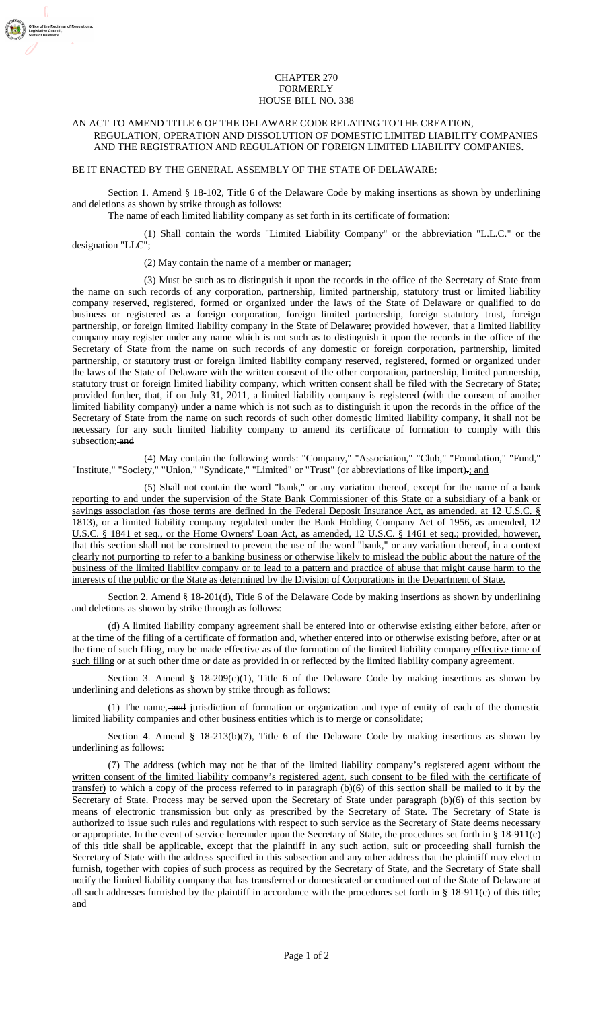## CHAPTER 270 FORMERLY HOUSE BILL NO. 338

## AN ACT TO AMEND TITLE 6 OF THE DELAWARE CODE RELATING TO THE CREATION, REGULATION, OPERATION AND DISSOLUTION OF DOMESTIC LIMITED LIABILITY COMPANIES AND THE REGISTRATION AND REGULATION OF FOREIGN LIMITED LIABILITY COMPANIES.

## BE IT ENACTED BY THE GENERAL ASSEMBLY OF THE STATE OF DELAWARE:

■■<br>If the Registrar of Regulations<br>tive Council,<br>! Delaware

Section 1. Amend § 18-102, Title 6 of the Delaware Code by making insertions as shown by underlining and deletions as shown by strike through as follows:

The name of each limited liability company as set forth in its certificate of formation:

(1) Shall contain the words "Limited Liability Company" or the abbreviation "L.L.C." or the designation "LLC";

(2) May contain the name of a member or manager;

(3) Must be such as to distinguish it upon the records in the office of the Secretary of State from the name on such records of any corporation, partnership, limited partnership, statutory trust or limited liability company reserved, registered, formed or organized under the laws of the State of Delaware or qualified to do business or registered as a foreign corporation, foreign limited partnership, foreign statutory trust, foreign partnership, or foreign limited liability company in the State of Delaware; provided however, that a limited liability company may register under any name which is not such as to distinguish it upon the records in the office of the Secretary of State from the name on such records of any domestic or foreign corporation, partnership, limited partnership, or statutory trust or foreign limited liability company reserved, registered, formed or organized under the laws of the State of Delaware with the written consent of the other corporation, partnership, limited partnership, statutory trust or foreign limited liability company, which written consent shall be filed with the Secretary of State; provided further, that, if on July 31, 2011, a limited liability company is registered (with the consent of another limited liability company) under a name which is not such as to distinguish it upon the records in the office of the Secretary of State from the name on such records of such other domestic limited liability company, it shall not be necessary for any such limited liability company to amend its certificate of formation to comply with this subsection; and

(4) May contain the following words: "Company," "Association," "Club," "Foundation," "Fund," "Institute," "Society," "Union," "Syndicate," "Limited" or "Trust" (or abbreviations of like import).; and

(5) Shall not contain the word "bank," or any variation thereof, except for the name of a bank reporting to and under the supervision of the State Bank Commissioner of this State or a subsidiary of a bank or savings association (as those terms are defined in the Federal Deposit Insurance Act, as amended, at 12 U.S.C. § 1813), or a limited liability company regulated under the Bank Holding Company Act of 1956, as amended, 12 U.S.C. § 1841 et seq., or the Home Owners' Loan Act, as amended, 12 U.S.C. § 1461 et seq.; provided, however, that this section shall not be construed to prevent the use of the word "bank," or any variation thereof, in a context clearly not purporting to refer to a banking business or otherwise likely to mislead the public about the nature of the business of the limited liability company or to lead to a pattern and practice of abuse that might cause harm to the interests of the public or the State as determined by the Division of Corporations in the Department of State.

Section 2. Amend § 18-201(d), Title 6 of the Delaware Code by making insertions as shown by underlining and deletions as shown by strike through as follows:

(d) A limited liability company agreement shall be entered into or otherwise existing either before, after or at the time of the filing of a certificate of formation and, whether entered into or otherwise existing before, after or at the time of such filing, may be made effective as of the formation of the limited liability company effective time of such filing or at such other time or date as provided in or reflected by the limited liability company agreement.

Section 3. Amend §  $18-209(c)(1)$ , Title 6 of the Delaware Code by making insertions as shown by underlining and deletions as shown by strike through as follows:

(1) The name, and jurisdiction of formation or organization and type of entity of each of the domestic limited liability companies and other business entities which is to merge or consolidate;

Section 4. Amend §  $18-213(b)(7)$ , Title 6 of the Delaware Code by making insertions as shown by underlining as follows:

(7) The address (which may not be that of the limited liability company's registered agent without the written consent of the limited liability company's registered agent, such consent to be filed with the certificate of transfer) to which a copy of the process referred to in paragraph (b)(6) of this section shall be mailed to it by the Secretary of State. Process may be served upon the Secretary of State under paragraph (b)(6) of this section by means of electronic transmission but only as prescribed by the Secretary of State. The Secretary of State is authorized to issue such rules and regulations with respect to such service as the Secretary of State deems necessary or appropriate. In the event of service hereunder upon the Secretary of State, the procedures set forth in § 18-911(c) of this title shall be applicable, except that the plaintiff in any such action, suit or proceeding shall furnish the Secretary of State with the address specified in this subsection and any other address that the plaintiff may elect to furnish, together with copies of such process as required by the Secretary of State, and the Secretary of State shall notify the limited liability company that has transferred or domesticated or continued out of the State of Delaware at all such addresses furnished by the plaintiff in accordance with the procedures set forth in § 18-911(c) of this title; and